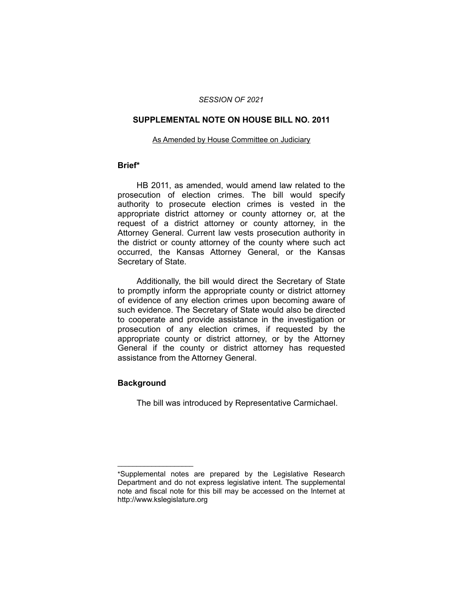#### *SESSION OF 2021*

#### **SUPPLEMENTAL NOTE ON HOUSE BILL NO. 2011**

#### As Amended by House Committee on Judiciary

## **Brief\***

HB 2011, as amended, would amend law related to the prosecution of election crimes. The bill would specify authority to prosecute election crimes is vested in the appropriate district attorney or county attorney or, at the request of a district attorney or county attorney, in the Attorney General. Current law vests prosecution authority in the district or county attorney of the county where such act occurred, the Kansas Attorney General, or the Kansas Secretary of State.

Additionally, the bill would direct the Secretary of State to promptly inform the appropriate county or district attorney of evidence of any election crimes upon becoming aware of such evidence. The Secretary of State would also be directed to cooperate and provide assistance in the investigation or prosecution of any election crimes, if requested by the appropriate county or district attorney, or by the Attorney General if the county or district attorney has requested assistance from the Attorney General.

### **Background**

 $\overline{\phantom{a}}$  , where  $\overline{\phantom{a}}$  , where  $\overline{\phantom{a}}$ 

The bill was introduced by Representative Carmichael.

<sup>\*</sup>Supplemental notes are prepared by the Legislative Research Department and do not express legislative intent. The supplemental note and fiscal note for this bill may be accessed on the Internet at http://www.kslegislature.org